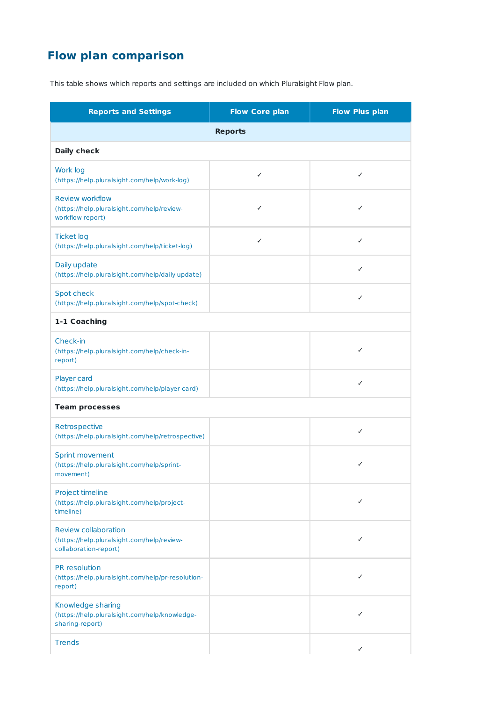## **Flow plan comparison**

This table shows which reports and settings are included on which Pluralsight Flow plan.

| <b>Reports and Settings</b>                                                                        | <b>Flow Core plan</b> | <b>Flow Plus plan</b> |  |
|----------------------------------------------------------------------------------------------------|-----------------------|-----------------------|--|
| <b>Reports</b>                                                                                     |                       |                       |  |
| <b>Daily check</b>                                                                                 |                       |                       |  |
| Work log<br>(https://help.pluralsight.com/help/work-log)                                           | $\checkmark$          | $\checkmark$          |  |
| <b>Review workflow</b><br>(https://help.pluralsight.com/help/review-<br>workflow-report)           | $\checkmark$          | ✓                     |  |
| <b>Ticket log</b><br>(https://help.pluralsight.com/help/ticket-log)                                | ✓                     | ✓                     |  |
| Daily update<br>(https://help.pluralsight.com/help/daily-update)                                   |                       | $\checkmark$          |  |
| <b>Spot check</b><br>(https://help.pluralsight.com/help/spot-check)                                |                       | ✓                     |  |
| 1-1 Coaching                                                                                       |                       |                       |  |
| Check-in<br>(https://help.pluralsight.com/help/check-in-<br>report)                                |                       | $\checkmark$          |  |
| Player card<br>(https://help.pluralsight.com/help/player-card)                                     |                       | ✓                     |  |
| <b>Team processes</b>                                                                              |                       |                       |  |
| Retrospective<br>(https://help.pluralsight.com/help/retrospective)                                 |                       | $\checkmark$          |  |
| <b>Sprint movement</b><br>(https://help.pluralsight.com/help/sprint-<br>movement)                  |                       | ✓                     |  |
| Project timeline<br>(https://help.pluralsight.com/help/project-<br>timeline)                       |                       | ✓                     |  |
| <b>Review collaboration</b><br>(https://help.pluralsight.com/help/review-<br>collaboration-report) |                       | ✓                     |  |
| PR resolution<br>(https://help.pluralsight.com/help/pr-resolution-<br>report)                      |                       | ✓                     |  |
| Knowledge sharing<br>(https://help.pluralsight.com/help/knowledge-<br>sharing-report)              |                       | ✓                     |  |
| <b>Trends</b>                                                                                      |                       | ✓                     |  |